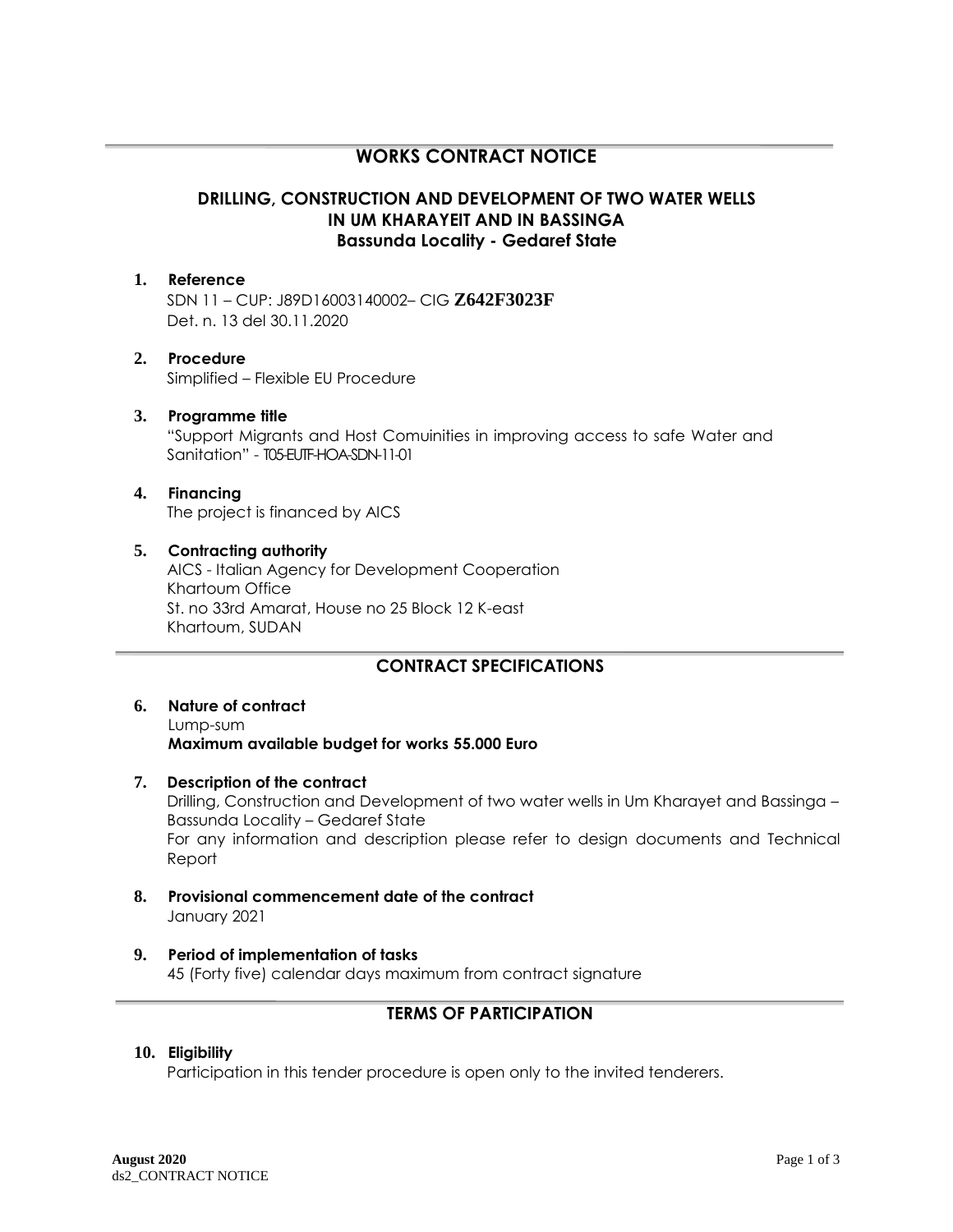# **WORKS CONTRACT NOTICE**

# **DRILLING, CONSTRUCTION AND DEVELOPMENT OF TWO WATER WELLS IN UM KHARAYEIT AND IN BASSINGA Bassunda Locality - Gedaref State**

#### **1. Reference**

SDN 11 – CUP: J89D16003140002– CIG **Z642F3023F** Det. n. 13 del 30.11.2020

#### **2. Procedure** Simplified – Flexible EU Procedure

## **3. Programme title**

"Support Migrants and Host Comuinities in improving access to safe Water and Sanitation" - T05-EUTF-HOA-SDN-11-01

### **4. Financing**

The project is financed by AICS

#### **5. Contracting authority**

AICS - Italian Agency for Development Cooperation Khartoum Office St. no 33rd Amarat, House no 25 Block 12 K-east Khartoum, SUDAN

# **CONTRACT SPECIFICATIONS**

#### **6. Nature of contract** Lump-sum **Maximum available budget for works 55.000 Euro**

- **7. Description of the contract** Drilling, Construction and Development of two water wells in Um Kharayet and Bassinga – Bassunda Locality – Gedaref State For any information and description please refer to design documents and Technical Report
- **8. Provisional commencement date of the contract** January 2021

# **9. Period of implementation of tasks**

45 (Forty five) calendar days maximum from contract signature

# **TERMS OF PARTICIPATION**

### **10. Eligibility**

Participation in this tender procedure is open only to the invited tenderers.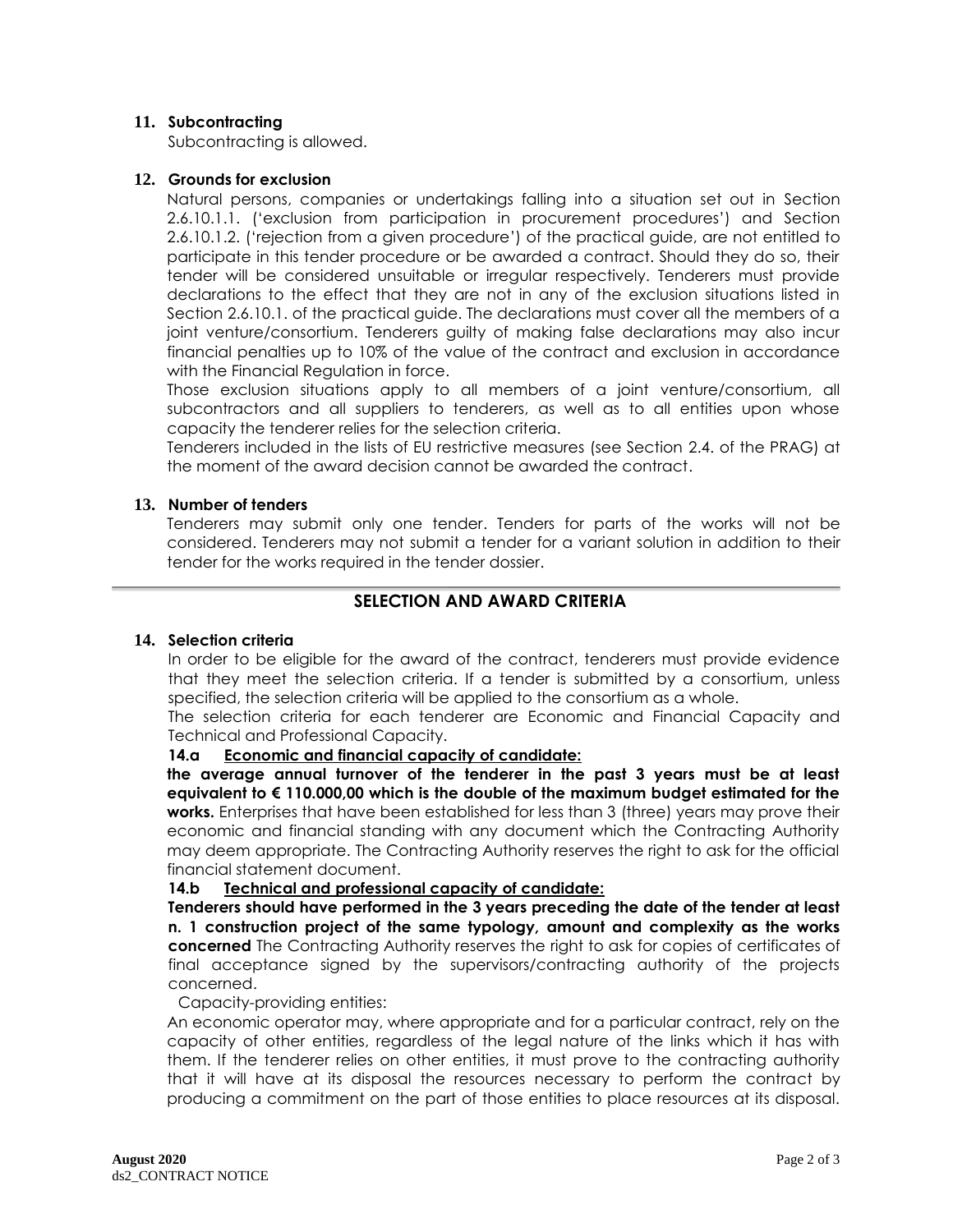#### **11. Subcontracting**

Subcontracting is allowed.

#### **12. Grounds for exclusion**

Natural persons, companies or undertakings falling into a situation set out in Section 2.6.10.1.1. ('exclusion from participation in procurement procedures') and Section 2.6.10.1.2. ('rejection from a given procedure') of the practical guide, are not entitled to participate in this tender procedure or be awarded a contract. Should they do so, their tender will be considered unsuitable or irregular respectively. Tenderers must provide declarations to the effect that they are not in any of the exclusion situations listed in Section 2.6.10.1. of the practical guide. The declarations must cover all the members of a joint venture/consortium. Tenderers guilty of making false declarations may also incur financial penalties up to 10% of the value of the contract and exclusion in accordance with the Financial Regulation in force.

Those exclusion situations apply to all members of a joint venture/consortium, all subcontractors and all suppliers to tenderers, as well as to all entities upon whose capacity the tenderer relies for the selection criteria.

Tenderers included in the lists of EU restrictive measures (see Section 2.4. of the PRAG) at the moment of the award decision cannot be awarded the contract.

#### **13. Number of tenders**

Tenderers may submit only one tender. Tenders for parts of the works will not be considered. Tenderers may not submit a tender for a variant solution in addition to their tender for the works required in the tender dossier.

## **SELECTION AND AWARD CRITERIA**

#### **14. Selection criteria**

In order to be eligible for the award of the contract, tenderers must provide evidence that they meet the selection criteria. If a tender is submitted by a consortium, unless specified, the selection criteria will be applied to the consortium as a whole.

The selection criteria for each tenderer are Economic and Financial Capacity and Technical and Professional Capacity.

#### **14.a Economic and financial capacity of candidate:**

**the average annual turnover of the tenderer in the past 3 years must be at least equivalent to € 110.000,00 which is the double of the maximum budget estimated for the works.** Enterprises that have been established for less than 3 (three) years may prove their economic and financial standing with any document which the Contracting Authority may deem appropriate. The Contracting Authority reserves the right to ask for the official financial statement document.

#### **14.b Technical and professional capacity of candidate:**

**Tenderers should have performed in the 3 years preceding the date of the tender at least n. 1 construction project of the same typology, amount and complexity as the works concerned** The Contracting Authority reserves the right to ask for copies of certificates of final acceptance signed by the supervisors/contracting authority of the projects concerned.

#### Capacity-providing entities:

An economic operator may, where appropriate and for a particular contract, rely on the capacity of other entities, regardless of the legal nature of the links which it has with them. If the tenderer relies on other entities, it must prove to the contracting authority that it will have at its disposal the resources necessary to perform the contract by producing a commitment on the part of those entities to place resources at its disposal.